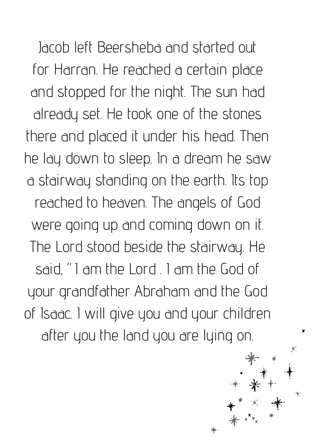Jacob left Beersheba and started out for Harran. He reached a certain place and stopped for the night. The sun had already set. He took one of the stones there and placed it under his head. Then he lay down to sleep. In a dream he saw a stairway standing on the earth. Its top reached to heaven. The angels of God were going up and coming down on it. The Lord stood beside the stairway. He said, "I am the Lord . I am the God of your grandfather Abraham and the God of Isaac. I will give you and your children after you the land you are lying on.

×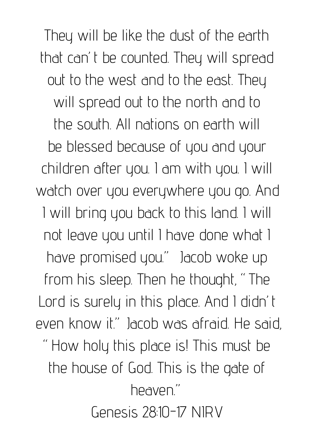They will be like the dust of the earth that can't be counted. They will spread out to the west and to the east. They will spread out to the north and to the south. All nations on earth will be blessed because of you and your children after you. I am with you. I will watch over you everywhere you go. And I will bring you back to this land. I will not leave you until I have done what I have promised you." Jacob woke up from his sleep. Then he thought, "The Lord is surely in this place. And I didn't even know it." Jacob was afraid. He said, "How holy this place is! This must be the house of God. This is the gate of heaven." Genesis 28:10-17 NIRV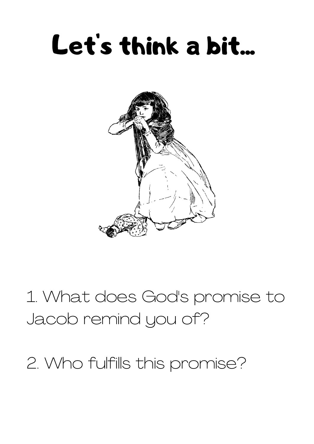## Let's think a bit...



1. What does God's promise to Jacob remind you of?

2. Who fulfills this promise?